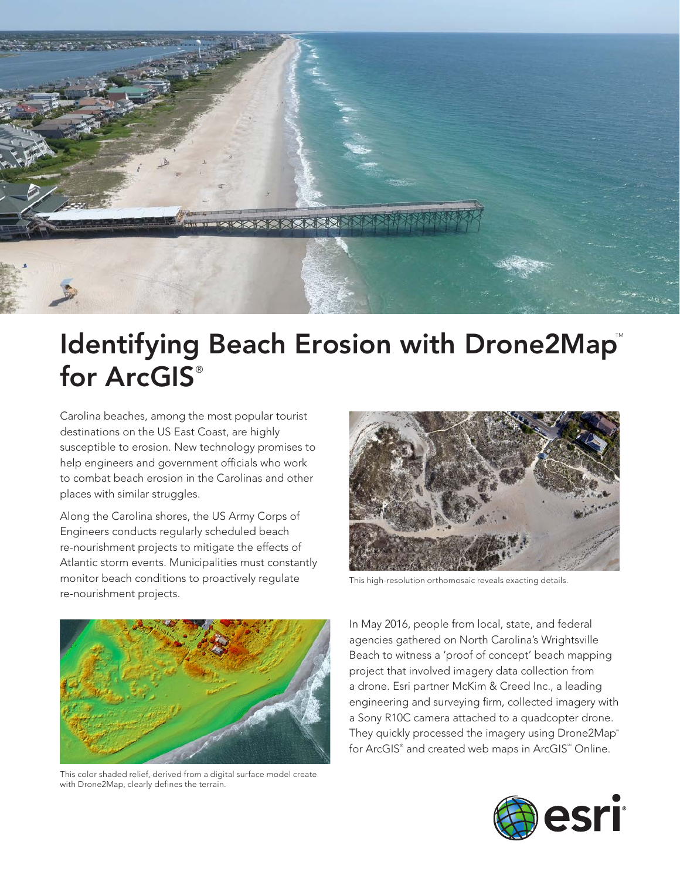

## Identifying Beach Erosion with Drone2Map for ArcGIS®

Carolina beaches, among the most popular tourist destinations on the US East Coast, are highly susceptible to erosion. New technology promises to help engineers and government officials who work to combat beach erosion in the Carolinas and other places with similar struggles.

Along the Carolina shores, the US Army Corps of Engineers conducts regularly scheduled beach re-nourishment projects to mitigate the effects of Atlantic storm events. Municipalities must constantly monitor beach conditions to proactively regulate re-nourishment projects.



This high-resolution orthomosaic reveals exacting details.



This color shaded relief, derived from a digital surface model create with Drone2Map, clearly defines the terrain.

In May 2016, people from local, state, and federal agencies gathered on North Carolina's Wrightsville Beach to witness a 'proof of concept' beach mapping project that involved imagery data collection from a drone. Esri partner McKim & Creed Inc., a leading engineering and surveying firm, collected imagery with a Sony R10C camera attached to a quadcopter drone. They quickly processed the imagery using Drone2Map<sup>®</sup> for ArcGIS® and created web maps in ArcGIS® Online.